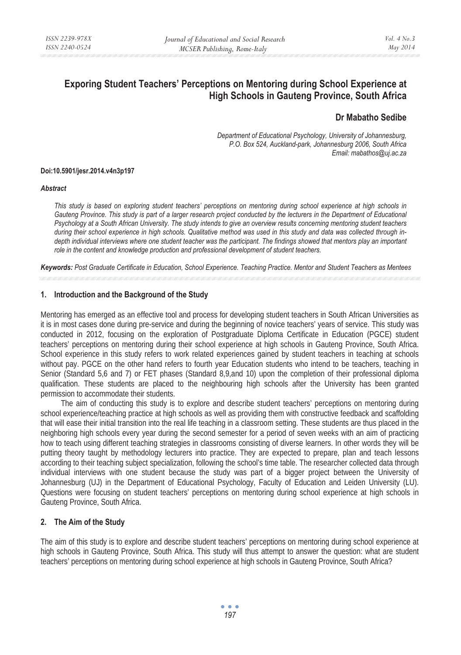# **Exporing Student Teachers' Perceptions on Mentoring during School Experience at High Schools in Gauteng Province, South Africa**

## **Dr Mabatho Sedibe**

*Department of Educational Psychology, University of Johannesburg, P.O. Box 524, Auckland-park, Johannesburg 2006, South Africa Email: mabathos@uj.ac.za* 

#### **Doi:10.5901/jesr.2014.v4n3p197**

#### *Abstract*

*This study is based on exploring student teachers' perceptions on mentoring during school experience at high schools in Gauteng Province. This study is part of a larger research project conducted by the lecturers in the Department of Educational Psychology at a South African University. The study intends to give an overview results concerning mentoring student teachers during their school experience in high schools. Qualitative method was used in this study and data was collected through indepth individual interviews where one student teacher was the participant. The findings showed that mentors play an important role in the content and knowledge production and professional development of student teachers.* 

*Keywords: Post Graduate Certificate in Education, School Experience. Teaching Practice. Mentor and Student Teachers as Mentees* 

#### **1. Introduction and the Background of the Study**

Mentoring has emerged as an effective tool and process for developing student teachers in South African Universities as it is in most cases done during pre-service and during the beginning of novice teachers' years of service. This study was conducted in 2012, focusing on the exploration of Postgraduate Diploma Certificate in Education (PGCE) student teachers' perceptions on mentoring during their school experience at high schools in Gauteng Province, South Africa. School experience in this study refers to work related experiences gained by student teachers in teaching at schools without pay. PGCE on the other hand refers to fourth year Education students who intend to be teachers, teaching in Senior (Standard 5,6 and 7) or FET phases (Standard 8,9,and 10) upon the completion of their professional diploma qualification. These students are placed to the neighbouring high schools after the University has been granted permission to accommodate their students.

The aim of conducting this study is to explore and describe student teachers' perceptions on mentoring during school experience/teaching practice at high schools as well as providing them with constructive feedback and scaffolding that will ease their initial transition into the real life teaching in a classroom setting. These students are thus placed in the neighboring high schools every year during the second semester for a period of seven weeks with an aim of practicing how to teach using different teaching strategies in classrooms consisting of diverse learners. In other words they will be putting theory taught by methodology lecturers into practice. They are expected to prepare, plan and teach lessons according to their teaching subject specialization, following the school's time table. The researcher collected data through individual interviews with one student because the study was part of a bigger project between the University of Johannesburg (UJ) in the Department of Educational Psychology, Faculty of Education and Leiden University (LU). Questions were focusing on student teachers' perceptions on mentoring during school experience at high schools in Gauteng Province, South Africa.

#### **2. The Aim of the Study**

The aim of this study is to explore and describe student teachers' perceptions on mentoring during school experience at high schools in Gauteng Province, South Africa. This study will thus attempt to answer the question: what are student teachers' perceptions on mentoring during school experience at high schools in Gauteng Province, South Africa?

> $\bullet$   $\bullet$   $\bullet$ *197*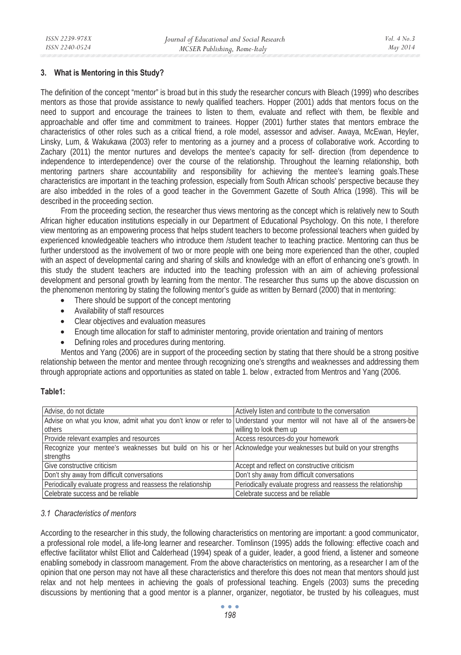#### **3. What is Mentoring in this Study?**

The definition of the concept "mentor" is broad but in this study the researcher concurs with Bleach (1999) who describes mentors as those that provide assistance to newly qualified teachers. Hopper (2001) adds that mentors focus on the need to support and encourage the trainees to listen to them, evaluate and reflect with them, be flexible and approachable and offer time and commitment to trainees. Hopper (2001) further states that mentors embrace the characteristics of other roles such as a critical friend, a role model, assessor and adviser. Awaya, McEwan, Heyler, Linsky, Lum, & Wakukawa (2003) refer to mentoring as a journey and a process of collaborative work. According to Zachary (2011) the mentor nurtures and develops the mentee's capacity for self- direction (from dependence to independence to interdependence) over the course of the relationship. Throughout the learning relationship, both mentoring partners share accountability and responsibility for achieving the mentee's learning goals.These characteristics are important in the teaching profession, especially from South African schools' perspective because they are also imbedded in the roles of a good teacher in the Government Gazette of South Africa (1998). This will be described in the proceeding section.

From the proceeding section, the researcher thus views mentoring as the concept which is relatively new to South African higher education institutions especially in our Department of Educational Psychology. On this note, I therefore view mentoring as an empowering process that helps student teachers to become professional teachers when guided by experienced knowledgeable teachers who introduce them /student teacher to teaching practice. Mentoring can thus be further understood as the involvement of two or more people with one being more experienced than the other, coupled with an aspect of developmental caring and sharing of skills and knowledge with an effort of enhancing one's growth. In this study the student teachers are inducted into the teaching profession with an aim of achieving professional development and personal growth by learning from the mentor. The researcher thus sums up the above discussion on the phenomenon mentoring by stating the following mentor's guide as written by Bernard (2000) that in mentoring:

- There should be support of the concept mentoring
- Availability of staff resources
- Clear objectives and evaluation measures
- Enough time allocation for staff to administer mentoring, provide orientation and training of mentors
- Defining roles and procedures during mentoring.

Mentos and Yang (2006) are in support of the proceeding section by stating that there should be a strong positive relationship between the mentor and mentee through recognizing one's strengths and weaknesses and addressing them through appropriate actions and opportunities as stated on table 1. below , extracted from Mentros and Yang (2006.

#### **Table1:**

| Advise, do not dictate                                                                                                    | Actively listen and contribute to the conversation           |
|---------------------------------------------------------------------------------------------------------------------------|--------------------------------------------------------------|
| Advise on what you know, admit what you don't know or refer to Understand your mentor will not have all of the answers-be |                                                              |
| others                                                                                                                    | willing to look them up                                      |
| Provide relevant examples and resources                                                                                   | Access resources-do your homework                            |
| Recognize your mentee's weaknesses but build on his or her Acknowledge your weaknesses but build on your strengths        |                                                              |
| strengths                                                                                                                 |                                                              |
| Give constructive criticism                                                                                               | Accept and reflect on constructive criticism                 |
| Don't shy away from difficult conversations                                                                               | Don't shy away from difficult conversations                  |
| Periodically evaluate progress and reassess the relationship                                                              | Periodically evaluate progress and reassess the relationship |
| Celebrate success and be reliable                                                                                         | Celebrate success and be reliable                            |

### *3.1 Characteristics of mentors*

According to the researcher in this study, the following characteristics on mentoring are important: a good communicator, a professional role model, a life-long learner and researcher. Tomlinson (1995) adds the following: effective coach and effective facilitator whilst Elliot and Calderhead (1994) speak of a guider, leader, a good friend, a listener and someone enabling somebody in classroom management. From the above characteristics on mentoring, as a researcher I am of the opinion that one person may not have all these characteristics and therefore this does not mean that mentors should just relax and not help mentees in achieving the goals of professional teaching. Engels (2003) sums the preceding discussions by mentioning that a good mentor is a planner, organizer, negotiator, be trusted by his colleagues, must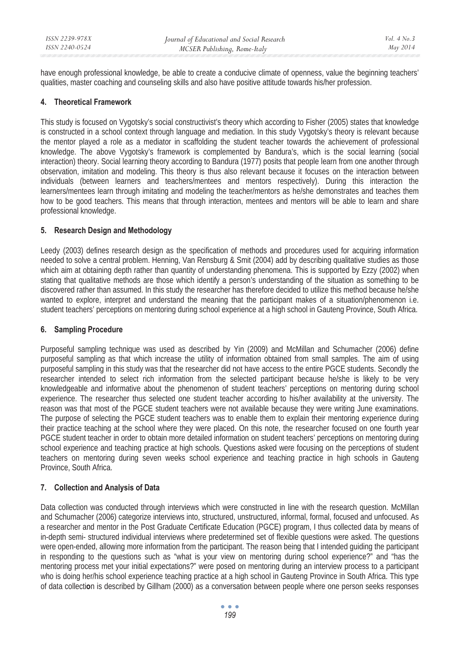have enough professional knowledge, be able to create a conducive climate of openness, value the beginning teachers' qualities, master coaching and counseling skills and also have positive attitude towards his/her profession.

### **4. Theoretical Framework**

This study is focused on Vygotsky's social constructivist's theory which according to Fisher (2005) states that knowledge is constructed in a school context through language and mediation. In this study Vygotsky's theory is relevant because the mentor played a role as a mediator in scaffolding the student teacher towards the achievement of professional knowledge. The above Vygotsky's framework is complemented by Bandura's, which is the social learning (social interaction) theory. Social learning theory according to Bandura (1977) posits that people learn from one another through observation, imitation and modeling. This theory is thus also relevant because it focuses on the interaction between individuals (between learners and teachers/mentees and mentors respectively). During this interaction the learners/mentees learn through imitating and modeling the teacher/mentors as he/she demonstrates and teaches them how to be good teachers. This means that through interaction, mentees and mentors will be able to learn and share professional knowledge.

#### **5. Research Design and Methodology**

Leedy (2003) defines research design as the specification of methods and procedures used for acquiring information needed to solve a central problem. Henning, Van Rensburg & Smit (2004) add by describing qualitative studies as those which aim at obtaining depth rather than quantity of understanding phenomena. This is supported by Ezzy (2002) when stating that qualitative methods are those which identify a person's understanding of the situation as something to be discovered rather than assumed. In this study the researcher has therefore decided to utilize this method because he/she wanted to explore, interpret and understand the meaning that the participant makes of a situation/phenomenon i.e. student teachers' perceptions on mentoring during school experience at a high school in Gauteng Province, South Africa.

### **6. Sampling Procedure**

Purposeful sampling technique was used as described by Yin (2009) and McMillan and Schumacher (2006) define purposeful sampling as that which increase the utility of information obtained from small samples. The aim of using purposeful sampling in this study was that the researcher did not have access to the entire PGCE students. Secondly the researcher intended to select rich information from the selected participant because he/she is likely to be very knowledgeable and informative about the phenomenon of student teachers' perceptions on mentoring during school experience. The researcher thus selected one student teacher according to his/her availability at the university. The reason was that most of the PGCE student teachers were not available because they were writing June examinations. The purpose of selecting the PGCE student teachers was to enable them to explain their mentoring experience during their practice teaching at the school where they were placed. On this note, the researcher focused on one fourth year PGCE student teacher in order to obtain more detailed information on student teachers' perceptions on mentoring during school experience and teaching practice at high schools. Questions asked were focusing on the perceptions of student teachers on mentoring during seven weeks school experience and teaching practice in high schools in Gauteng Province, South Africa.

### **7. Collection and Analysis of Data**

Data collection was conducted through interviews which were constructed in line with the research question. McMillan and Schumacher (2006) categorize interviews into, structured, unstructured, informal, formal, focused and unfocused. As a researcher and mentor in the Post Graduate Certificate Education (PGCE) program, I thus collected data by means of in-depth semi- structured individual interviews where predetermined set of flexible questions were asked. The questions were open-ended, allowing more information from the participant. The reason being that I intended guiding the participant in responding to the questions such as "what is your view on mentoring during school experience?" and "has the mentoring process met your initial expectations?" were posed on mentoring during an interview process to a participant who is doing her/his school experience teaching practice at a high school in Gauteng Province in South Africa. This type of data collecti**o**n is described by Gillham (2000) as a conversation between people where one person seeks responses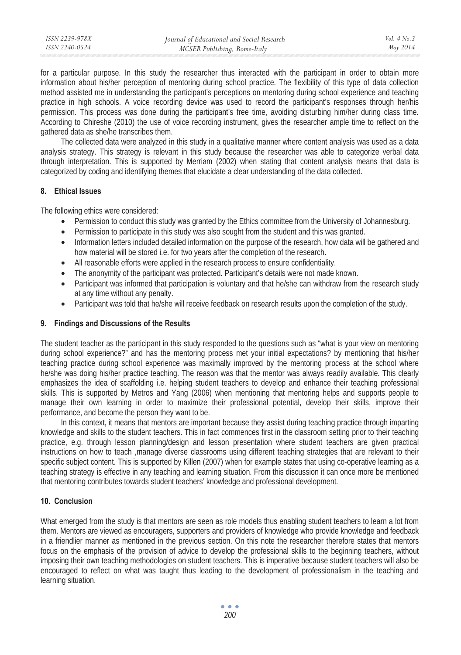for a particular purpose. In this study the researcher thus interacted with the participant in order to obtain more information about his/her perception of mentoring during school practice. The flexibility of this type of data collection method assisted me in understanding the participant's perceptions on mentoring during school experience and teaching practice in high schools. A voice recording device was used to record the participant's responses through her/his permission. This process was done during the participant's free time, avoiding disturbing him/her during class time. According to Chireshe (2010) the use of voice recording instrument, gives the researcher ample time to reflect on the gathered data as she/he transcribes them.

The collected data were analyzed in this study in a qualitative manner where content analysis was used as a data analysis strategy. This strategy is relevant in this study because the researcher was able to categorize verbal data through interpretation. This is supported by Merriam (2002) when stating that content analysis means that data is categorized by coding and identifying themes that elucidate a clear understanding of the data collected.

### **8. Ethical Issues**

The following ethics were considered:

- Permission to conduct this study was granted by the Ethics committee from the University of Johannesburg.
- Permission to participate in this study was also sought from the student and this was granted.
- Information letters included detailed information on the purpose of the research, how data will be gathered and how material will be stored i.e. for two years after the completion of the research.
- All reasonable efforts were applied in the research process to ensure confidentiality.
- The anonymity of the participant was protected. Participant's details were not made known.
- Participant was informed that participation is voluntary and that he/she can withdraw from the research study at any time without any penalty.
- Participant was told that he/she will receive feedback on research results upon the completion of the study.

### **9. Findings and Discussions of the Results**

The student teacher as the participant in this study responded to the questions such as "what is your view on mentoring during school experience?" and has the mentoring process met your initial expectations? by mentioning that his/her teaching practice during school experience was maximally improved by the mentoring process at the school where he/she was doing his/her practice teaching. The reason was that the mentor was always readily available. This clearly emphasizes the idea of scaffolding i.e. helping student teachers to develop and enhance their teaching professional skills. This is supported by Metros and Yang (2006) when mentioning that mentoring helps and supports people to manage their own learning in order to maximize their professional potential, develop their skills, improve their performance, and become the person they want to be.

In this context, it means that mentors are important because they assist during teaching practice through imparting knowledge and skills to the student teachers. This in fact commences first in the classroom setting prior to their teaching practice, e.g. through lesson planning/design and lesson presentation where student teachers are given practical instructions on how to teach ,manage diverse classrooms using different teaching strategies that are relevant to their specific subject content. This is supported by Killen (2007) when for example states that using co-operative learning as a teaching strategy is effective in any teaching and learning situation. From this discussion it can once more be mentioned that mentoring contributes towards student teachers' knowledge and professional development.

### **10. Conclusion**

What emerged from the study is that mentors are seen as role models thus enabling student teachers to learn a lot from them. Mentors are viewed as encouragers, supporters and providers of knowledge who provide knowledge and feedback in a friendlier manner as mentioned in the previous section. On this note the researcher therefore states that mentors focus on the emphasis of the provision of advice to develop the professional skills to the beginning teachers, without imposing their own teaching methodologies on student teachers. This is imperative because student teachers will also be encouraged to reflect on what was taught thus leading to the development of professionalism in the teaching and learning situation.